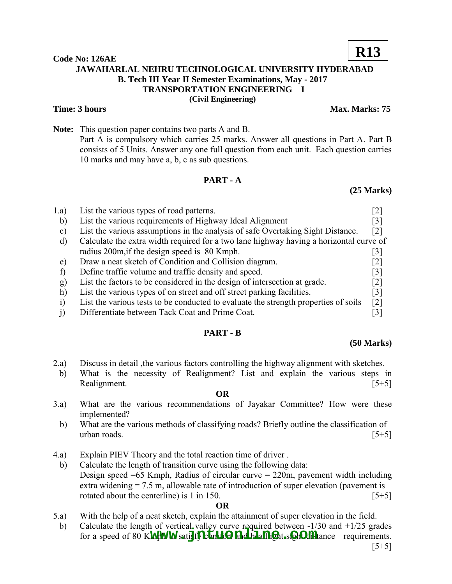**Code No: 126AE JAWAHARLAL NEHRU TECHNOLOGICAL UNIVERSITY HYDERABAD B. Tech III Year II Semester Examinations, May - 2017 TRANSPORTATION ENGINEERING – I (Civil Engineering)** 

## **Time: 3 hours** Max. Marks: 75

**Note:** This question paper contains two parts A and B. Part A is compulsory which carries 25 marks. Answer all questions in Part A. Part B consists of 5 Units. Answer any one full question from each unit. Each question carries 10 marks and may have a, b, c as sub questions.

## **PART - A**

## **(25 Marks)**

| 1.a)         | List the various types of road patterns.                                               |                   |  |  |
|--------------|----------------------------------------------------------------------------------------|-------------------|--|--|
|              |                                                                                        |                   |  |  |
| b)           | List the various requirements of Highway Ideal Alignment                               | 3                 |  |  |
| $\mathbf{C}$ | List the various assumptions in the analysis of safe Overtaking Sight Distance.        | $\lceil 2 \rceil$ |  |  |
| d)           | Calculate the extra width required for a two lane highway having a horizontal curve of |                   |  |  |
|              | radius 200m, if the design speed is 80 Kmph.                                           | $\vert 3 \vert$   |  |  |
| e)           | Draw a neat sketch of Condition and Collision diagram.                                 | [2]               |  |  |
|              | Define traffic volume and traffic density and speed.                                   | $\lceil 3 \rceil$ |  |  |
| $\bf{g}$     | List the factors to be considered in the design of intersection at grade.              | [2]               |  |  |
| h)           | List the various types of on street and off street parking facilities.                 | [3]               |  |  |
|              | List the various tests to be conducted to evaluate the strength properties of soils    | $\lceil 2 \rceil$ |  |  |
|              | Differentiate between Tack Coat and Prime Coat.                                        |                   |  |  |

# **PART - B**

### **(50 Marks)**

- 2.a) Discuss in detail ,the various factors controlling the highway alignment with sketches.
- b) What is the necessity of Realignment? List and explain the various steps in Realignment. [5+5]

### **OR**

- 3.a) What are the various recommendations of Jayakar Committee? How were these implemented?
- b) What are the various methods of classifying roads? Briefly outline the classification of urban roads.  $[5+5]$
- 4.a) Explain PIEV Theory and the total reaction time of driver .
	- b) Calculate the length of transition curve using the following data: Design speed  $=65$  Kmph, Radius of circular curve  $= 220$ m, pavement width including extra widening = 7.5 m, allowable rate of introduction of super elevation (pavement is rotated about the centerline) is  $1 \text{ in } 150$ . [5+5]

### **OR**

- 5.a) With the help of a neat sketch, explain the attainment of super elevation in the field.
- b) Calculate the length of vertical valley curve required between  $-1/30$  and  $+1/25$  grades eared a speed of 80 K**MPWW** satisfy can be required between -1750 and 11725 grades for a speed of 80 KMPWW satisfy conditional headling at sight Officer requirements.  $[5+5]$